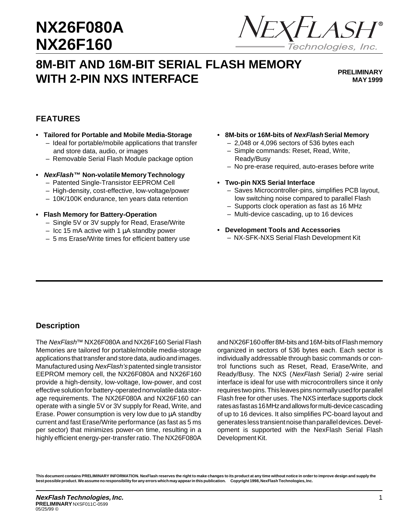## **NIXE6 NX26F160 NX26F080A NX26F160**



# **8M-BIT AND 16M-BIT SERIAL FLASH MEMORY WITH 2-PIN NXS INTERFACE**

**PRELIMINARY MAY 1999**

### **FEATURES**

- **Tailored for Portable and Mobile Media-Storage**
	- Ideal for portable/mobile applications that transfer and store data, audio, or images
	- Removable Serial Flash Module package option
- **• NexFlash™ Non-volatile Memory Technology** – Patented Single-Transistor EEPROM Cell
	- High-density, cost-effective, low-voltage/power
	- 10K/100K endurance, ten years data retention
- **Flash Memory for Battery-Operation**
	- Single 5V or 3V supply for Read, Erase/Write
	- $-$  Icc 15 mA active with 1  $\mu$ A standby power
	- 5 ms Erase/Write times for efficient battery use
- **8M-bits or 16M-bits of NexFlash Serial Memory**
	- 2,048 or 4,096 sectors of 536 bytes each
	- Simple commands: Reset, Read, Write, Ready/Busy
	- No pre-erase required, auto-erases before write
- **Two-pin NXS Serial Interface**
	- Saves Microcontroller-pins, simplifies PCB layout, low switching noise compared to parallel Flash
	- Supports clock operation as fast as 16 MHz
	- Multi-device cascading, up to 16 devices
- **Development Tools and Accessories** – NX-SFK-NXS Serial Flash Development Kit

### **Description**

The NexFlash™ NX26F080A and NX26F160 Serial Flash Memories are tailored for portable/mobile media-storage applications that transfer and store data, audio and images. Manufactured using NexFlash's patented single transistor EEPROM memory cell, the NX26F080A and NX26F160 provide a high-density, low-voltage, low-power, and cost effective solution for battery-operated nonvolatile data storage requirements. The NX26F080A and NX26F160 can operate with a single 5V or 3V supply for Read, Write, and Erase. Power consumption is very low due to µA standby current and fast Erase/Write performance (as fast as 5 ms per sector) that minimizes power-on time, resulting in a highly efficient energy-per-transfer ratio. The NX26F080A and NX26F160 offer 8M-bits and 16M-bits of Flash memory organized in sectors of 536 bytes each. Each sector is individually addressable through basic commands or control functions such as Reset, Read, Erase/Write, and Ready/Busy. The NXS (NexFlash Serial) 2-wire serial interface is ideal for use with microcontrollers since it only requires two pins. This leaves pins normally used for parallel Flash free for other uses. The NXS interface supports clock rates as fast as 16 MHz and allows for multi-device cascading of up to 16 devices. It also simplifies PC-board layout and generates less transient noise than parallel devices. Development is supported with the NexFlash Serial Flash Development Kit.

**This document contains PRELIMINARY INFORMATION. NexFlash reserves the right to make changes to its product at any time without notice in order to improve design and supply the best possible product. We assume no responsibility for any errors which may appear in this publication. Copyright 1998, NexFlash Technologies, Inc.**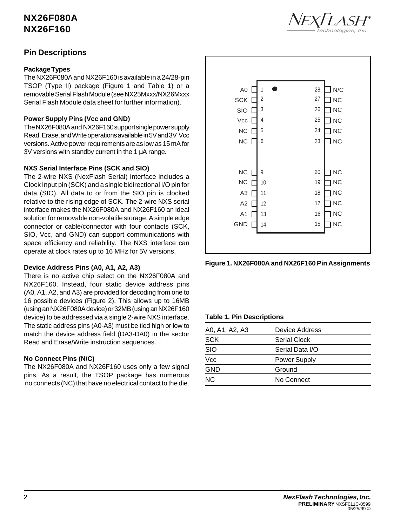

### **Pin Descriptions**

### **Package Types**

The NX26F080A and NX26F160 is available in a 24/28-pin TSOP (Type II) package (Figure 1 and Table 1) or a removable Serial Flash Module (see NX25Mxxx/NX26Mxxx Serial Flash Module data sheet for further information).

### **Power Supply Pins (Vcc and GND)**

The NX26F080A and NX26F160 support single power supply Read, Erase, and Write operations available in 5V and 3V Vcc versions. Active power requirements are as low as 15 mA for 3V versions with standby current in the 1  $\mu$ A range.

### **NXS Serial Interface Pins (SCK and SIO)**

The 2-wire NXS (NexFlash Serial) interface includes a Clock Input pin (SCK) and a single bidirectional I/O pin for data (SIO). All data to or from the SIO pin is clocked relative to the rising edge of SCK. The 2-wire NXS serial interface makes the NX26F080A and NX26F160 an ideal solution for removable non-volatile storage. A simple edge connector or cable/connector with four contacts (SCK, SIO, Vcc, and GND) can support communications with space efficiency and reliability. The NXS interface can operate at clock rates up to 16 MHz for 5V versions.

### **Device Address Pins (A0, A1, A2, A3)**

There is no active chip select on the NX26F080A and NX26F160. Instead, four static device address pins (A0, A1, A2, and A3) are provided for decoding from one to 16 possible devices (Figure 2). This allows up to 16MB (using an NX26F080A device) or 32MB (using an NX26F160 device) to be addressed via a single 2-wire NXS interface. The static address pins (A0-A3) must be tied high or low to match the device address field (DA3-DA0) in the sector Read and Erase/Write instruction sequences.

### **No Connect Pins (N/C)**

The NX26F080A and NX26F160 uses only a few signal pins. As a result, the TSOP package has numerous no connects (NC) that have no electrical contact to the die.





#### **Table 1. Pin Descriptions**

| A0, A1, A2, A3 | <b>Device Address</b> |
|----------------|-----------------------|
| <b>SCK</b>     | Serial Clock          |
| <b>SIO</b>     | Serial Data I/O       |
| Vcc            | <b>Power Supply</b>   |
| <b>GND</b>     | Ground                |
| NC.            | No Connect            |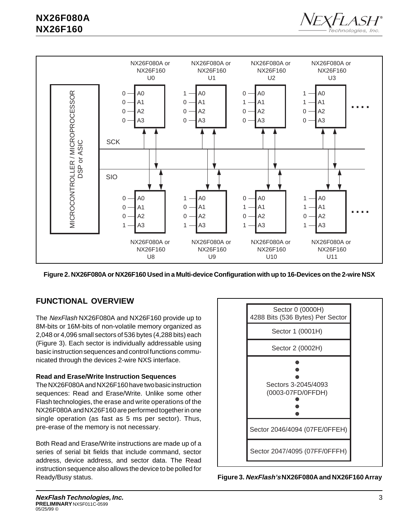



**Figure 2. NX26F080A or NX26F160 Used in a Multi-device Configuration with up to 16-Devices on the 2-wire NSX**

### **FUNCTIONAL OVERVIEW**

The NexFlash NX26F080A and NX26F160 provide up to 8M-bits or 16M-bits of non-volatile memory organized as 2,048 or 4,096 small sectors of 536 bytes (4,288 bits) each (Figure 3). Each sector is individually addressable using basic instruction sequences and control functions communicated through the devices 2-wire NXS interface.

### **Read and Erase/Write Instruction Sequences**

The NX26F080A and NX26F160 have two basic instruction sequences: Read and Erase/Write. Unlike some other Flash technologies, the erase and write operations of the NX26F080A and NX26F160 are performed together in one single operation (as fast as 5 ms per sector). Thus, pre-erase of the memory is not necessary.

Both Read and Erase/Write instructions are made up of a series of serial bit fields that include command, sector address, device address, and sector data. The Read instruction sequence also allows the device to be polled for Ready/Busy status.



**Figure 3. NexFlash's NX26F080A and NX26F160 Array**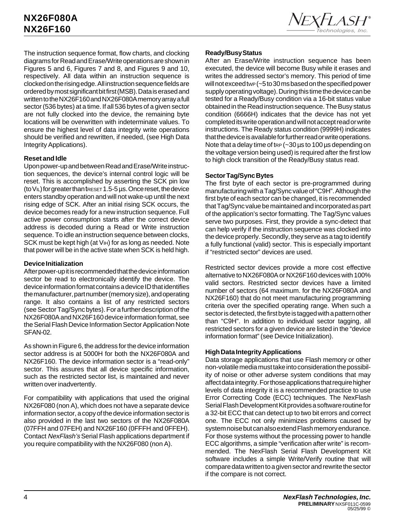

The instruction sequence format, flow charts, and clocking diagrams for Read and Erase/Write operations are shown in Figures 5 and 6, Figures 7 and 8, and Figures 9 and 10, respectively. All data within an instruction sequence is clocked on the rising edge. All instruction sequence fields are ordered by most significant bit first (MSB). Data is erased and written to the NX26F160 and NX26F080A memory array a full sector (536 bytes) at a time. If all 536 bytes of a given sector are not fully clocked into the device, the remaining byte locations will be overwritten with indeterminate values. To ensure the highest level of data integrity write operations should be verified and rewritten, if needed, (see High Data Integrity Applications).

### **Reset and Idle**

Upon power-up and between Read and Erase/Write instruction sequences, the device's internal control logic will be reset. This is accomplished by asserting the SCK pin low (to  $V_L$ ) for greater than treset 1.5-5  $\mu$ s. Once reset, the device enters standby operation and will not wake-up until the next rising edge of SCK. After an initial rising SCK occurs, the device becomes ready for a new instruction sequence. Full active power consumption starts after the correct device address is decoded during a Read or Write instruction sequence. To idle an instruction sequence between clocks, SCK must be kept high (at V<sub>IH</sub>) for as long as needed. Note that power will be in the active state when SCK is held high.

#### **Device Initialization**

After power-up it is recommended that the device information sector be read to electronically identify the device. The device information format contains a device ID that identifies the manufacturer, part number (memory size), and operating range. It also contains a list of any restricted sectors (see Sector Tag/Sync bytes). For a further description of the NX26F080A and NX26F160 device information format, see the Serial Flash Device Information Sector Application Note SFAN-02.

As shown in Figure 6, the address for the device information sector address is at 5000H for both the NX26F080A and NX26F160. The device information sector is a "read-only" sector. This assures that all device specific information, such as the restricted sector list, is maintained and never written over inadvertently.

For compatibility with applications that used the original NX26F080 (non A), which does not have a separate device information sector, a copy of the device information sector is also provided in the last two sectors of the NX26F080A (07FFH and 07FEH) and NX26F160 (0FFFH and 0FFEH). Contact NexFlash's Serial Flash applications department if you require compatibility with the NX26F080 (non A).

### **Ready/Busy Status**

After an Erase/Write instruction sequence has been executed, the device will become Busy while it erases and writes the addressed sector's memory. This period of time will not exceed tWP (~5 to 30 ms based on the specified power supply operating voltage). During this time the device can be tested for a Ready/Busy condition via a 16-bit status value obtained in the Read instruction sequence. The Busy status condition (6666H) indicates that the device has not yet completed its write operation and will not accept read or write instructions. The Ready status condition (9999H) indicates that the device is available for further read or write operations. Note that a delay time of tre  $(-30 \,\mu s)$  to 100  $\mu s$  depending on the voltage version being used) is required after the first low to high clock transition of the Ready/Busy status read.

### **Sector Tag/Sync Bytes**

The first byte of each sector is pre-programmed during manufacturing with a Tag/Sync value of "C9H". Although the first byte of each sector can be changed, it is recommended that Tag/Sync value be maintained and incorporated as part of the application's sector formatting. The Tag/Sync values serve two purposes. First, they provide a sync-detect that can help verify if the instruction sequence was clocked into the device properly. Secondly, they serve as a tag to identify a fully functional (valid) sector. This is especially important if "restricted sector" devices are used.

Restricted sector devices provide a more cost effective alternative to NX26F080A or NX26F160 devices with 100% valid sectors. Restricted sector devices have a limited number of sectors (64 maximum. for the NX26F080A and NX26F160) that do not meet manufacturing programming criteria over the specified operating range. When such a sector is detected, the first byte is tagged with a pattern other than "C9H". In addition to individual sector tagging, all restricted sectors for a given device are listed in the "device information format" (see Device Initialization).

#### **High Data Integrity Applications**

Data storage applications that use Flash memory or other non-volatile media must take into consideration the possibility of noise or other adverse system conditions that may affect data integrity. For those applications that require higher levels of data integrity it is a recommended practice to use Error Correcting Code (ECC) techniques. The NexFlash Serial Flash Development Kit provides a software routine for a 32-bit ECC that can detect up to two bit errors and correct one. The ECC not only minimizes problems caused by system noise but can also extend Flash memory endurance. For those systems without the processing power to handle ECC algorithms, a simple "verification after write" is recommended. The NexFlash Serial Flash Development Kit software includes a simple Write/Verify routine that will compare data written to a given sector and rewrite the sector if the compare is not correct.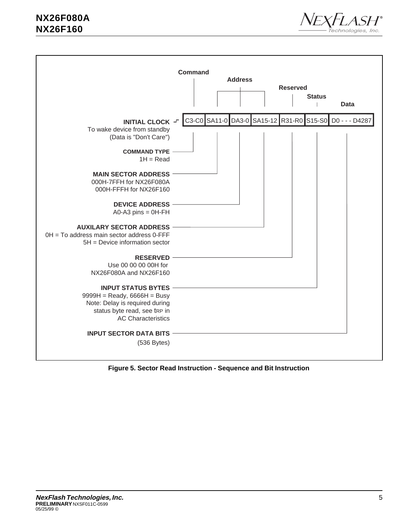



**Figure 5. Sector Read Instruction - Sequence and Bit Instruction**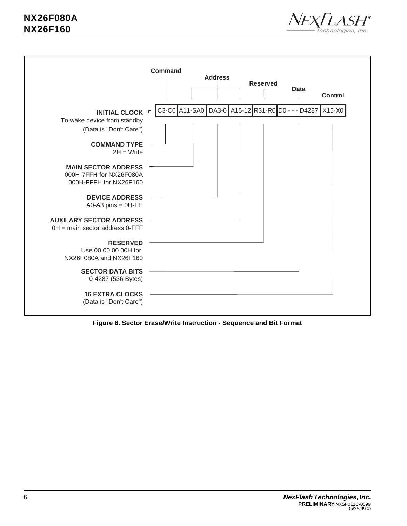



**Figure 6. Sector Erase/Write Instruction - Sequence and Bit Format**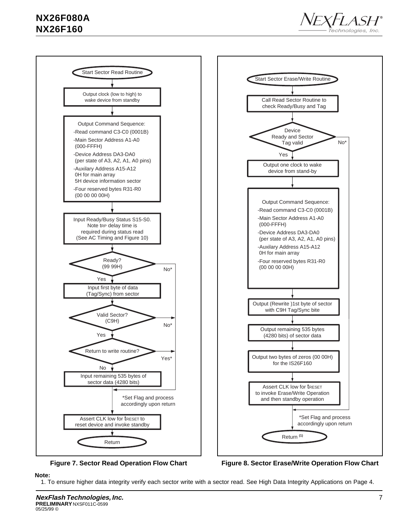



**Figure 7. Sector Read Operation Flow Chart**

**Figure 8. Sector Erase/Write Operation Flow Chart**

#### **Note:**

1. To ensure higher data integrity verify each sector write with a sector read. See High Data Integrity Applications on Page 4.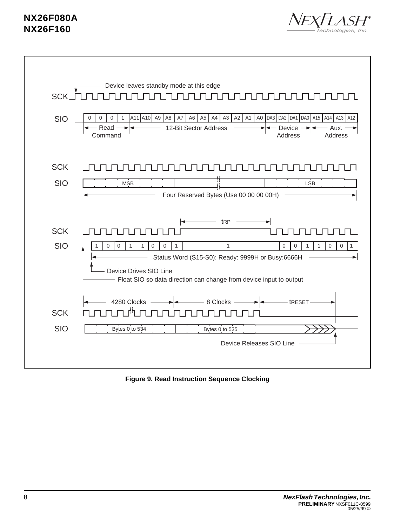



**Figure 9. Read Instruction Sequence Clocking**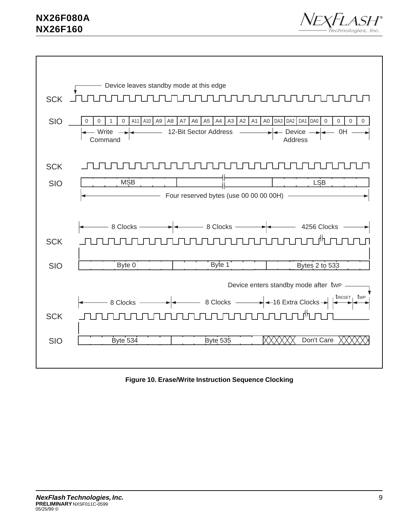



**Figure 10. Erase/Write Instruction Sequence Clocking**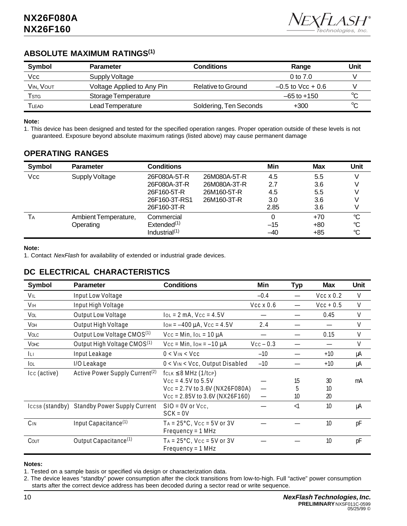

### **ABSOLUTE MAXIMUM RATINGS(1)**

| <b>Symbol</b> | <b>Parameter</b>           | Conditions             | Range               | Unit |
|---------------|----------------------------|------------------------|---------------------|------|
| Vcc           | Supply Voltage             |                        | 0 to 7.0            |      |
| VIN, VOUT     | Voltage Applied to Any Pin | Relative to Ground     | $-0.5$ to Vcc + 0.6 |      |
| Tstg          | Storage Temperature        |                        | $-65$ to $+150$     | ∽    |
| TLEAD         | Lead Temperature           | Soldering, Ten Seconds | $+300$              | ∽    |

#### **Note:**

1. This device has been designed and tested for the specified operation ranges. Proper operation outside of these levels is not guaranteed. Exposure beyond absolute maximum ratings (listed above) may cause permanent damage

### **OPERATING RANGES**

| Symbol     | <b>Parameter</b>      | <b>Conditions</b> |              | Min   | <b>Max</b> | Unit            |
|------------|-----------------------|-------------------|--------------|-------|------------|-----------------|
| <b>Vcc</b> | <b>Supply Voltage</b> | 26F080A-5T-R      | 26M080A-5T-R | 4.5   | 5.5        |                 |
|            |                       | 26F080A-3T-R      | 26M080A-3T-R | 2.7   | 3.6        |                 |
|            |                       | 26F160-5T-R       | 26M160-5T-R  | 4.5   | 5.5        |                 |
|            |                       | 26F160-3T-RS1     | 26M160-3T-R  | 3.0   | 3.6        |                 |
|            |                       | 26F160-3T-R       |              | 2.85  | 3.6        |                 |
| Tд         | Ambient Temperature,  | Commercial        |              | 0     | $+70$      | $\mathrm{C}$    |
|            | Operating             | Extended $(1)$    |              | $-15$ | $+80$      | °C              |
|            |                       | Industrial $(1)$  |              | $-40$ | $+85$      | $\rm ^{\circ}C$ |

#### **Note:**

1. Contact NexFlash for availability of extended or industrial grade devices.

### **DC ELECTRICAL CHARACTERISTICS**

| Symbol                | <b>Parameter</b>                             | <b>Conditions</b>                            | Min              | <b>Typ</b> | <b>Max</b>       | <b>Unit</b> |
|-----------------------|----------------------------------------------|----------------------------------------------|------------------|------------|------------------|-------------|
| VIL                   | Input Low Voltage                            |                                              | $-0.4$           |            | $Vcc \times 0.2$ | V           |
| <b>V<sub>IH</sub></b> | Input High Voltage                           |                                              | $Vcc \times 0.6$ |            | $Vcc + 0.5$      | V           |
| VOL                   | Output Low Voltage                           | $IOL = 2 mA$ , $VCC = 4.5V$                  |                  |            | 0.45             | V           |
| VOH                   | Output High Voltage                          | $I$ <sub>OH</sub> = $-400 \mu$ A, Vcc = 4.5V | 2.4              |            |                  | V           |
| Volc                  | Output Low Voltage CMOS <sup>(1)</sup>       | $Vcc = Min$ , $IOL = 10 \mu A$               |                  |            | 0.15             | V           |
| <b>VOHC</b>           | Output High Voltage CMOS <sup>(1)</sup>      | $Vcc = Min$ , $IOH = -10 \mu A$              | $Vcc - 0.3$      |            |                  | V           |
| <b>ILI</b>            | Input Leakage                                | $0 < V_{IN} < V_{CC}$                        | $-10$            |            | $+10$            | μA          |
| lol                   | I/O Leakage                                  | 0 < VIN < Vcc, Output Disabled               | $-10$            |            | $+10$            | μA          |
| Icc (active)          | Active Power Supply Current <sup>(2)</sup>   | $f_{CLK} \leq 8 MHz (1/tcP)$                 |                  |            |                  |             |
|                       |                                              | $Vcc = 4.5V$ to 5.5V                         |                  | 15         | 30               | mA          |
|                       |                                              | $Vcc = 2.7V$ to 3.6V (NX26F080A)             |                  | 5          | 10               |             |
|                       |                                              | $Vcc = 2.85V$ to 3.6V (NX26F160)             |                  | 10         | 20               |             |
|                       | ICCSB (standby) Standby Power Supply Current | $SIO = OV$ or $Vcc$ ,                        |                  | $\leq$     | 10               | μA          |
|                       |                                              | $SCK = 0V$                                   |                  |            |                  |             |
| C <sub>IN</sub>       | Input Capacitance <sup>(1)</sup>             | $TA = 25°C$ , $Vcc = 5V$ or 3V               |                  |            | 10               | pF          |
|                       |                                              | $Frequency = 1 MHz$                          |                  |            |                  |             |
| COUT                  | Output Capacitance <sup>(1)</sup>            | $TA = 25°C$ , $Vcc = 5V$ or 3V               |                  |            | 10               | pF          |
|                       |                                              | $Frequency = 1 MHz$                          |                  |            |                  |             |

#### **Notes:**

1. Tested on a sample basis or specified via design or characterization data.

2. The device leaves "standby" power consumption after the clock transitions from low-to-high. Full "active" power consumption starts after the correct device address has been decoded during a sector read or write sequence.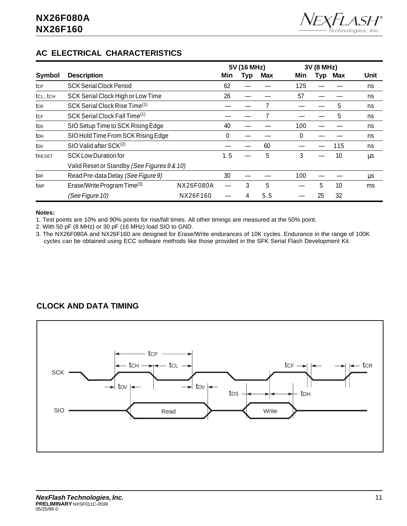

### **AC ELECTRICAL CHARACTERISTICS**

|                 |                                             |           | 5V (16 MHz) |     | 3V (8 MHz) |     |     |     |      |
|-----------------|---------------------------------------------|-----------|-------------|-----|------------|-----|-----|-----|------|
| <b>Symbol</b>   | <b>Description</b>                          |           | Min         | Тур | Max        | Min | Typ | Max | Unit |
| tcp             | <b>SCK Serial Clock Period</b>              |           | 62          |     |            | 125 |     |     | ns   |
| tcl, tch        | SCK Serial Clock High or Low Time           |           | 26          |     |            | 57  |     |     | ns   |
| tcr             | SCK Serial Clock Rise Time <sup>(1)</sup>   |           |             |     |            |     |     | 5   | ns   |
| tcF             | SCK Serial Clock Fall Time <sup>(1)</sup>   |           |             |     |            |     |     | 5   | ns   |
| tps             | SIO Setup Time to SCK Rising Edge           |           | 40          |     |            | 100 |     |     | ns   |
| tdh             | SIO Hold Time From SCK Rising Edge          |           | 0           |     |            | 0   |     |     | ns   |
| t <sub>DV</sub> | $SIO$ Valid after $SCK(2)$                  |           |             |     | 60         |     |     | 115 | ns   |
| <b>TRESET</b>   | <b>SCK Low Duration for</b>                 |           | 1.5         |     | 5          | 3   |     | 10  | μs   |
|                 | Valid Reset or Standby (See Figures 9 & 10) |           |             |     |            |     |     |     |      |
| t <sub>RP</sub> | Read Pre-data Delay (See Figure 9)          |           | 30          |     |            | 100 |     |     | μs   |
| twp             | Erase/Write Program Time <sup>(3)</sup>     | NX26F080A |             | 3   | 5          |     | 5   | 10  | ms   |
|                 | (See Figure 10)                             | NX26F160  |             | 4   | 5.5        |     | 25  | 32  |      |

#### **Notes:**

1. Test points are 10% and 90% points for rise/fall times. All other timings are measured at the 50% point.

2. With 50 pF (8 MHz) or 30 pF (16 MHz) load SIO to GND.

3. The NX26F080A and NX26F160 are designed for Erase/Write endurances of 10K cycles. Endurance in the range of 100K cycles can be obtained using ECC software methods like those provided in the SFK Serial Flash Development Kit.

### **CLOCK AND DATA TIMING**

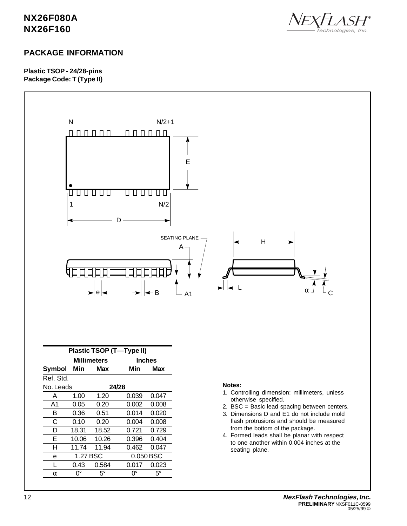

### **PACKAGE INFORMATION**

**Plastic TSOP - 24/28-pins Package Code: T (Type II)**